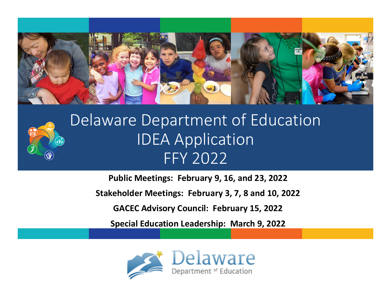



## Delaware Department of Education IDEA Application FFY 2022

**Public Meetings: February 9, 16, and 23, 2022**

**Stakeholder Meetings: February 3, 7, 8 and 10, 2022**

**GACEC Advisory Council: February 15, 2022**

**Special Education Leadership: March 9, 2022**

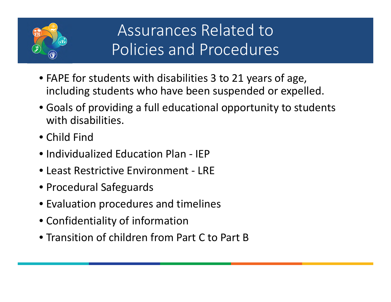

- FAPE for students with disabilities 3 to 21 years of age, including students who have been suspended or expelled.
- Goals of providing a full educational opportunity to students with disabilities.
- Child Find
- Individualized Education Plan IEP
- Least Restrictive Environment LRF
- Procedural Safeguards
- Evaluation procedures and timelines
- Confidentiality of information
- Transition of children from Part C to Part B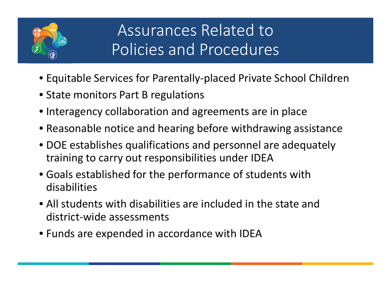

- Equitable Services for Parentally-placed Private School Children
- State monitors Part B regulations
- Interagency collaboration and agreements are in place
- Reasonable notice and hearing before withdrawing assistance
- DOE establishes qualifications and personnel are adequately training to carry out responsibilities under IDEA
- Goals established for the performance of students with disabilities
- All students with disabilities are included in the state and district-wide assessments
- Funds are expended in accordance with IDEA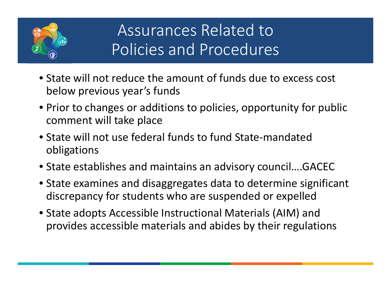

- State will not reduce the amount of funds due to excess cost below previous year's funds
- Prior to changes or additions to policies, opportunity for public comment will take place
- State will not use federal funds to fund State-mandated obligations
- State establishes and maintains an advisory council….GACEC
- State examines and disaggregates data to determine significant discrepancy for students who are suspended or expelled
- State adopts Accessible Instructional Materials (AIM) and provides accessible materials and abides by their regulations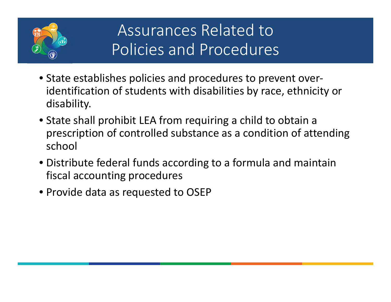

- State establishes policies and procedures to prevent overidentification of students with disabilities by race, ethnicity or disability.
- State shall prohibit LEA from requiring a child to obtain a prescription of controlled substance as a condition of attending school
- Distribute federal funds according to a formula and maintain fiscal accounting procedures
- Provide data as requested to OSEP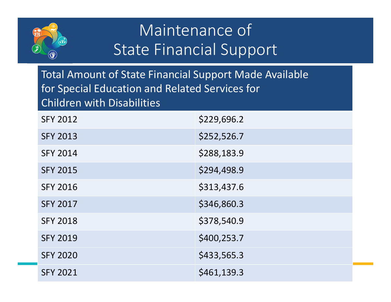

## Maintenance of State Financial Support

Total Amount of State Financial Support Made Available for Special Education and Related Services for Children with Disabilities

| <b>SFY 2012</b> | \$229,696.2 |
|-----------------|-------------|
| <b>SFY 2013</b> | \$252,526.7 |
| <b>SFY 2014</b> | \$288,183.9 |
| <b>SFY 2015</b> | \$294,498.9 |
| <b>SFY 2016</b> | \$313,437.6 |
| <b>SFY 2017</b> | \$346,860.3 |
| <b>SFY 2018</b> | \$378,540.9 |
| <b>SFY 2019</b> | \$400,253.7 |
| <b>SFY 2020</b> | \$433,565.3 |
| <b>SFY 2021</b> | \$461,139.3 |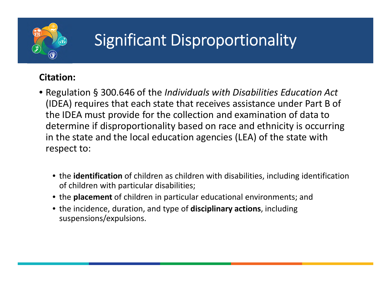

### **Citation:**

- Regulation § 300.646 of the *Individuals with Disabilities Education Act*  (IDEA) requires that each state that receives assistance under Part B of the IDEA must provide for the collection and examination of data to determine if disproportionality based on race and ethnicity is occurring in the state and the local education agencies (LEA) of the state with respect to:
	- the **identification** of children as children with disabilities, including identification of children with particular disabilities;
	- the **placement** of children in particular educational environments; and
	- the incidence, duration, and type of **disciplinary actions**, including suspensions/expulsions.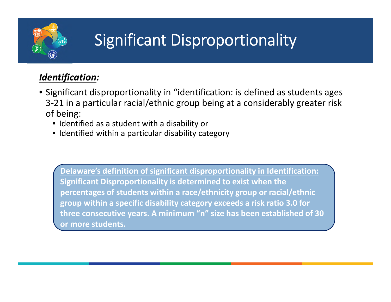

### *Identification:*

- Significant disproportionality in "identification: is defined as students ages 3-21 in a particular racial/ethnic group being at a considerably greater risk of being:
	- Identified as a student with a disability or
	- Identified within a particular disability category

**Delaware's definition of significant disproportionality in Identification: Significant Disproportionality is determined to exist when the percentages of students within a race/ethnicity group or racial/ethnic group within a specific disability category exceeds a risk ratio 3.0 for three consecutive years. A minimum "n" size has been established of 30 or more students.**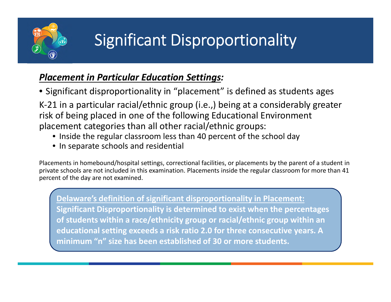

#### *Placement in Particular Education Settings:*

• Significant disproportionality in "placement" is defined as students ages

K-21 in a particular racial/ethnic group (i.e.,) being at a considerably greater risk of being placed in one of the following Educational Environment placement categories than all other racial/ethnic groups:

- Inside the regular classroom less than 40 percent of the school day
- In separate schools and residential

Placements in homebound/hospital settings, correctional facilities, or placements by the parent of a student in private schools are not included in this examination. Placements inside the regular classroom for more than 41 percent of the day are not examined.

**Delaware's definition of significant disproportionality in Placement: Significant Disproportionality is determined to exist when the percentages of students within a race/ethnicity group or racial/ethnic group within an educational setting exceeds a risk ratio 2.0 for three consecutive years. A minimum "n" size has been established of 30 or more students.**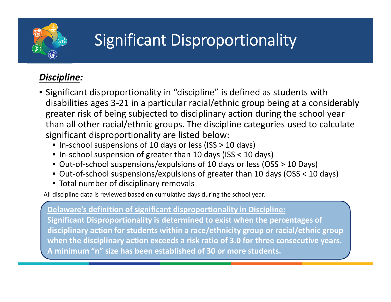

### *Discipline:*

- Significant disproportionality in "discipline" is defined as students with disabilities ages 3-21 in a particular racial/ethnic group being at a considerably greater risk of being subjected to disciplinary action during the school year than all other racial/ethnic groups. The discipline categories used to calculate significant disproportionality are listed below:
	- In-school suspensions of 10 days or less (ISS > 10 days)
	- In-school suspension of greater than 10 days (ISS < 10 days)
	- Out-of-school suspensions/expulsions of 10 days or less (OSS > 10 Days)
	- Out-of-school suspensions/expulsions of greater than 10 days (OSS < 10 days)
	- Total number of disciplinary removals

All discipline data is reviewed based on cumulative days during the school year.

**Delaware's definition of significant disproportionality in Discipline:**

**Significant Disproportionality is determined to exist when the percentages of disciplinary action for students within a race/ethnicity group or racial/ethnic group when the disciplinary action exceeds a risk ratio of 3.0 for three consecutive years. A minimum "n" size has been established of 30 or more students.**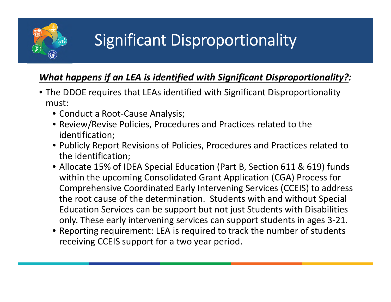

### *What happens if an LEA is identified with Significant Disproportionality?:*

- The DDOE requires that LEAs identified with Significant Disproportionality must:
	- Conduct a Root-Cause Analysis;
	- Review/Revise Policies, Procedures and Practices related to the identification;
	- Publicly Report Revisions of Policies, Procedures and Practices related to the identification;
	- Allocate 15% of IDEA Special Education (Part B, Section 611 & 619) funds within the upcoming Consolidated Grant Application (CGA) Process for Comprehensive Coordinated Early Intervening Services (CCEIS) to address the root cause of the determination. Students with and without Special Education Services can be support but not just Students with Disabilities only. These early intervening services can support students in ages 3-21.
	- Reporting requirement: LEA is required to track the number of students receiving CCEIS support for a two year period.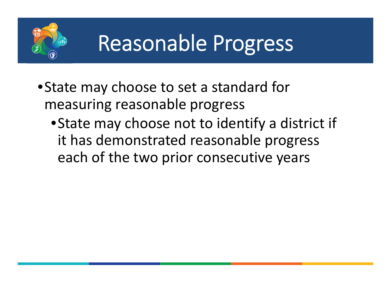

- •State may choose to set a standard for measuring reasonable progress
	- •State may choose not to identify a district if it has demonstrated reasonable progress each of the two prior consecutive years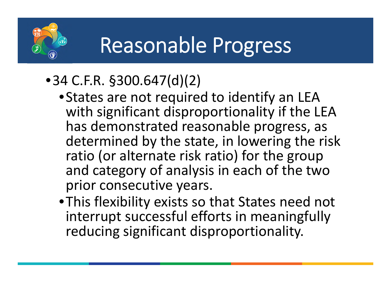

# Reasonable Progress

- •34 C.F.R. §300.647(d)(2)
	- •States are not required to identify an LEA with significant disproportionality if the LEA has demonstrated reasonable progress, as determined by the state, in lowering the risk ratio (or alternate risk ratio) for the group and category of analysis in each of the two prior consecutive years.
	- •This flexibility exists so that States need not interrupt successful efforts in meaningfully reducing significant disproportionality.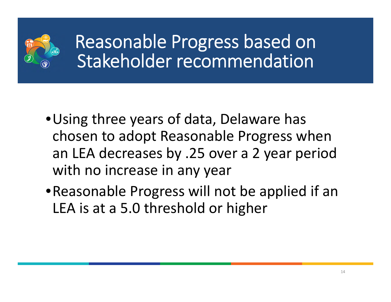

Reasonable Progress based on Stakeholder recommendation

- •Using three years of data, Delaware has chosen to adopt Reasonable Progress when an LEA decreases by .25 over a 2 year period with no increase in any year
- •Reasonable Progress will not be applied if an LEA is at a 5.0 threshold or higher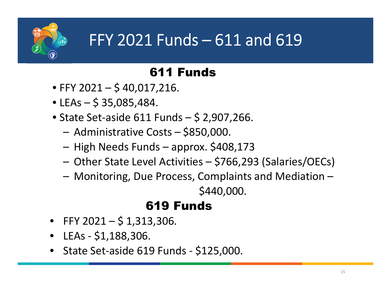

## FFY 2021 Funds – 611 and 619

## 611 Funds

- FFY 2021 \$40,017,216.
- LEAs  $-$  \$ 35,085,484.
- State Set-aside 611 Funds \$ 2,907,266.
	- Administrative Costs \$850,000.
	- High Needs Funds approx. \$408,173
	- Other State Level Activities \$766,293 (Salaries/OECs)
	- Monitoring, Due Process, Complaints and Mediation –

\$440,000.

## 619 Funds

- FFY 2021  $$1,313,306$ .
- LEAs \$1,188,306.
- State Set-aside 619 Funds \$125,000.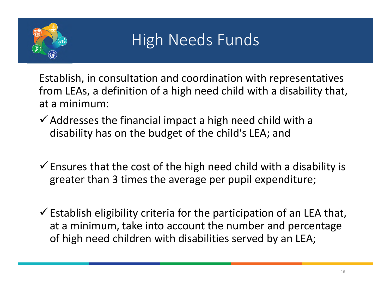

## High Needs Funds

Establish, in consultation and coordination with representatives from LEAs, a definition of a high need child with a disability that, at a minimum:

- $\checkmark$  Addresses the financial impact a high need child with a disability has on the budget of the child's LEA; and
- $\checkmark$  Ensures that the cost of the high need child with a disability is greater than 3 times the average per pupil expenditure;
- $\checkmark$  Establish eligibility criteria for the participation of an LEA that, at a minimum, take into account the number and percentage of high need children with disabilities served by an LEA;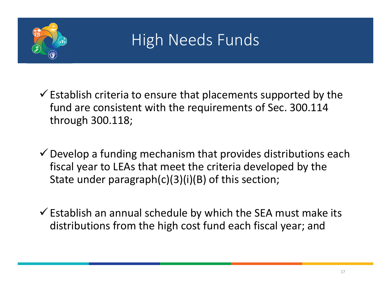

## High Needs Funds

 $\checkmark$  Establish criteria to ensure that placements supported by the fund are consistent with the requirements of Sec. 300.114 through 300.118;

 $\checkmark$  Develop a funding mechanism that provides distributions each fiscal year to LEAs that meet the criteria developed by the State under paragraph(c)(3)(i)(B) of this section;

 $\checkmark$  Establish an annual schedule by which the SEA must make its distributions from the high cost fund each fiscal year; and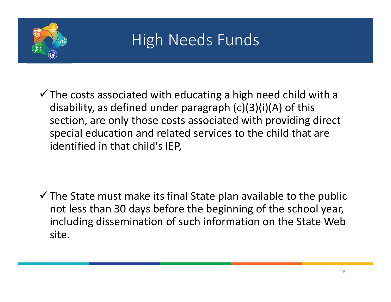

## High Needs Funds

 $\checkmark$  The costs associated with educating a high need child with a disability, as defined under paragraph (c)(3)(i)(A) of this section, are only those costs associated with providing direct special education and related services to the child that are identified in that child's IEP,

 $\checkmark$  The State must make its final State plan available to the public not less than 30 days before the beginning of the school year, including dissemination of such information on the State Web site.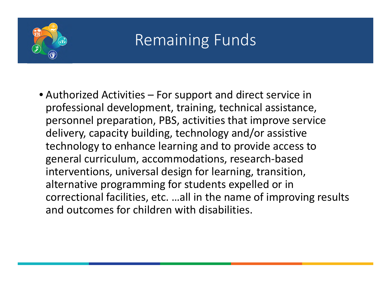

## Remaining Funds

• Authorized Activities – For support and direct service in professional development, training, technical assistance, personnel preparation, PBS, activities that improve service delivery, capacity building, technology and/or assistive technology to enhance learning and to provide access to general curriculum, accommodations, research-based interventions, universal design for learning, transition, alternative programming for students expelled or in correctional facilities, etc. …all in the name of improving results and outcomes for children with disabilities.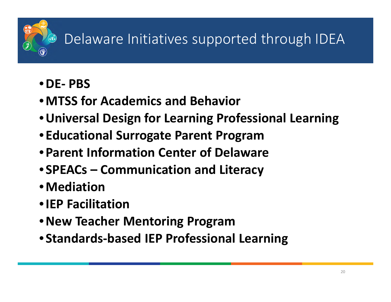## Delaware Initiatives supported through IDEA

- •**DE- PBS**
- •**MTSS for Academics and Behavior**
- •**Universal Design for Learning Professional Learning**
- **Educational Surrogate Parent Program**
- **Parent Information Center of Delaware**
- **SPEACs Communication and Literacy**
- •**Mediation**
- •**IEP Facilitation**
- •**New Teacher Mentoring Program**
- **Standards-based IEP Professional Learning**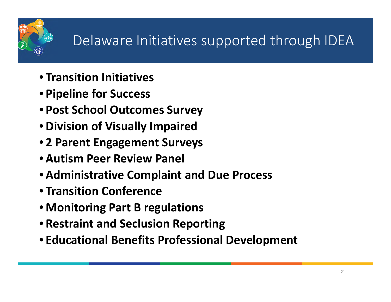## Delaware Initiatives supported through IDEA

- **Transition Initiatives**
- **Pipeline for Success**
- **Post School Outcomes Survey**
- **Division of Visually Impaired**
- **2 Parent Engagement Surveys**
- **Autism Peer Review Panel**
- **Administrative Complaint and Due Process**
- **Transition Conference**
- **Monitoring Part B regulations**
- **Restraint and Seclusion Reporting**
- **Educational Benefits Professional Development**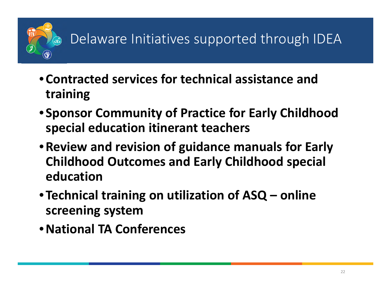

- **Contracted services for technical assistance and training**
- **Sponsor Community of Practice for Early Childhood special education itinerant teachers**
- •**Review and revision of guidance manuals for Early Childhood Outcomes and Early Childhood special education**
- **Technical training on utilization of ASQ online screening system**
- •**National TA Conferences**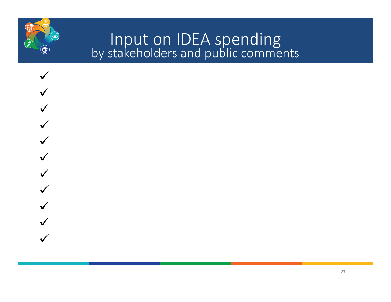

## Input on IDEA spending by stakeholders and public comments